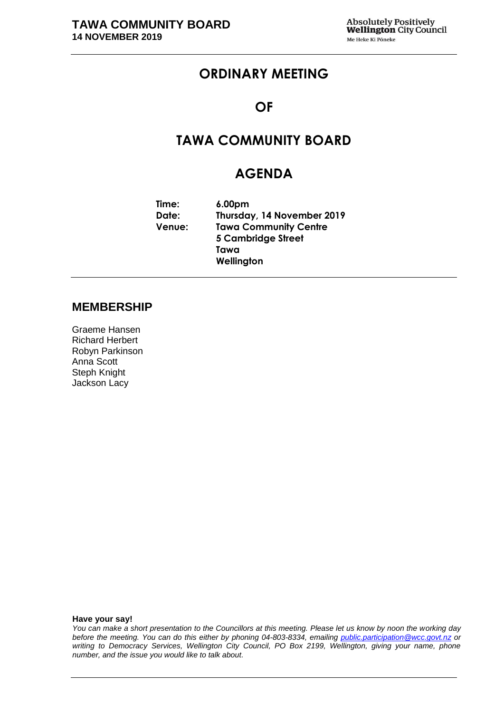# **ORDINARY MEETING**

### **OF**

# **TAWA COMMUNITY BOARD**

# **AGENDA**

| Time:  | 6.00 <sub>pm</sub>           |
|--------|------------------------------|
| Date:  | Thursday, 14 November 2019   |
| Venue: | <b>Tawa Community Centre</b> |
|        | 5 Cambridge Street           |
|        | Tawa                         |
|        | Wellington                   |

### **MEMBERSHIP**

Graeme Hansen Richard Herbert Robyn Parkinson Anna Scott Steph Knight Jackson Lacy

**Have your say!**

*You can make a short presentation to the Councillors at this meeting. Please let us know by noon the working day before the meeting. You can do this either by phoning 04-803-8334, emailing public.participation@wcc.govt.nz or writing to Democracy Services, Wellington City Council, PO Box 2199, Wellington, giving your name, phone number, and the issue you would like to talk about.*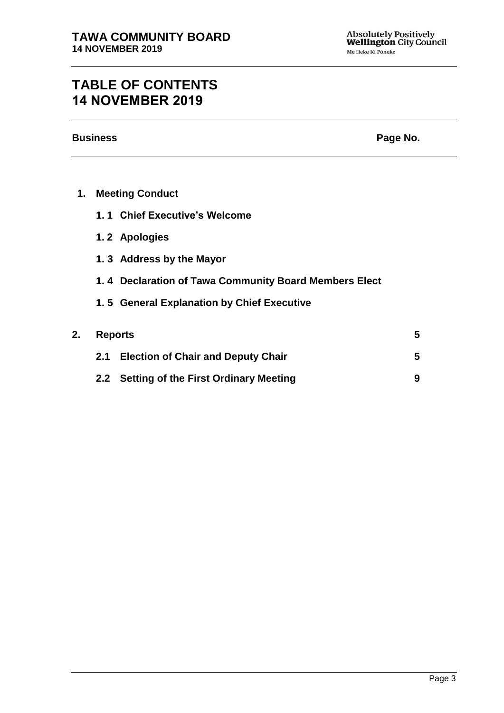# **TABLE OF CONTENTS 14 NOVEMBER 2019**

**Business Page No.**

| <b>Meeting Conduct</b><br>1. |  |
|------------------------------|--|
|------------------------------|--|

- **1. 1 Chief Executive's Welcome**
- **1. 2 Apologies**
- **1. 3 Address by the Mayor**
- **1. 4 Declaration of Tawa Community Board Members Elect**
- **1. 5 General Explanation by Chief Executive**

| 2. Reports |                                           |  |
|------------|-------------------------------------------|--|
|            | 2.1 Election of Chair and Deputy Chair    |  |
|            | 2.2 Setting of the First Ordinary Meeting |  |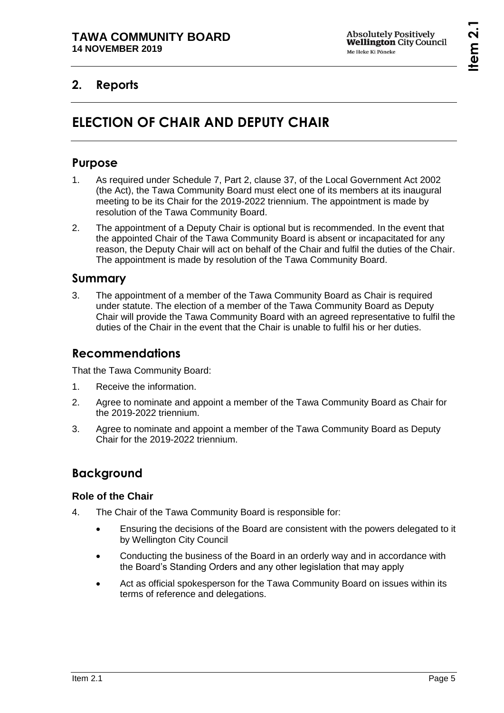# **2. Reports**

# **ELECTION OF CHAIR AND DEPUTY CHAIR**

### **Purpose**

- 1. As required under Schedule 7, Part 2, clause 37, of the Local Government Act 2002 (the Act), the Tawa Community Board must elect one of its members at its inaugural meeting to be its Chair for the 2019-2022 triennium. The appointment is made by resolution of the Tawa Community Board.
- 2. The appointment of a Deputy Chair is optional but is recommended. In the event that the appointed Chair of the Tawa Community Board is absent or incapacitated for any reason, the Deputy Chair will act on behalf of the Chair and fulfil the duties of the Chair. The appointment is made by resolution of the Tawa Community Board.

### **Summary**

3. The appointment of a member of the Tawa Community Board as Chair is required under statute. The election of a member of the Tawa Community Board as Deputy Chair will provide the Tawa Community Board with an agreed representative to fulfil the duties of the Chair in the event that the Chair is unable to fulfil his or her duties.

### **Recommendations**

That the Tawa Community Board:

- 1. Receive the information.
- 2. Agree to nominate and appoint a member of the Tawa Community Board as Chair for the 2019-2022 triennium.
- 3. Agree to nominate and appoint a member of the Tawa Community Board as Deputy Chair for the 2019-2022 triennium.

# **Background**

### **Role of the Chair**

- 4. The Chair of the Tawa Community Board is responsible for:
	- Ensuring the decisions of the Board are consistent with the powers delegated to it by Wellington City Council
	- Conducting the business of the Board in an orderly way and in accordance with the Board's Standing Orders and any other legislation that may apply
	- Act as official spokesperson for the Tawa Community Board on issues within its terms of reference and delegations.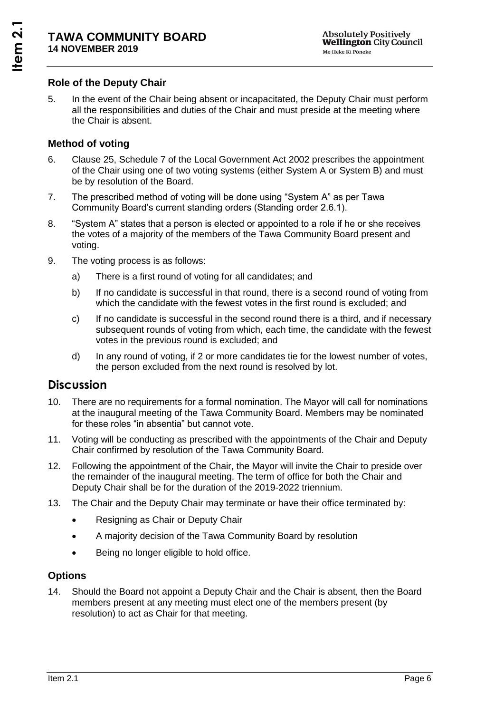### **Role of the Deputy Chair**

5. In the event of the Chair being absent or incapacitated, the Deputy Chair must perform all the responsibilities and duties of the Chair and must preside at the meeting where the Chair is absent.

### **Method of voting**

- 6. Clause 25, Schedule 7 of the Local Government Act 2002 prescribes the appointment of the Chair using one of two voting systems (either System A or System B) and must be by resolution of the Board.
- 7. The prescribed method of voting will be done using "System A" as per Tawa Community Board's current standing orders (Standing order 2.6.1).
- 8. "System A" states that a person is elected or appointed to a role if he or she receives the votes of a majority of the members of the Tawa Community Board present and voting.
- 9. The voting process is as follows:
	- a) There is a first round of voting for all candidates; and
	- b) If no candidate is successful in that round, there is a second round of voting from which the candidate with the fewest votes in the first round is excluded; and
	- c) If no candidate is successful in the second round there is a third, and if necessary subsequent rounds of voting from which, each time, the candidate with the fewest votes in the previous round is excluded; and
	- d) In any round of voting, if 2 or more candidates tie for the lowest number of votes, the person excluded from the next round is resolved by lot.

### **Discussion**

- 10. There are no requirements for a formal nomination. The Mayor will call for nominations at the inaugural meeting of the Tawa Community Board. Members may be nominated for these roles "in absentia" but cannot vote.
- 11. Voting will be conducting as prescribed with the appointments of the Chair and Deputy Chair confirmed by resolution of the Tawa Community Board.
- 12. Following the appointment of the Chair, the Mayor will invite the Chair to preside over the remainder of the inaugural meeting. The term of office for both the Chair and Deputy Chair shall be for the duration of the 2019-2022 triennium.
- 13. The Chair and the Deputy Chair may terminate or have their office terminated by:
	- Resigning as Chair or Deputy Chair
	- A majority decision of the Tawa Community Board by resolution
	- Being no longer eligible to hold office.

### **Options**

14. Should the Board not appoint a Deputy Chair and the Chair is absent, then the Board members present at any meeting must elect one of the members present (by resolution) to act as Chair for that meeting.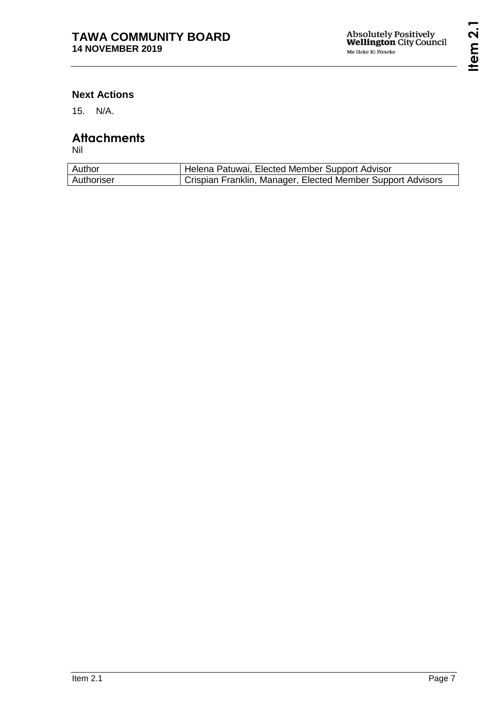### **Next Actions**

15. N/A.

# **Attachments**

Nil

| Author     | Helena Patuwai, Elected Member Support Advisor              |
|------------|-------------------------------------------------------------|
| Authoriser | Crispian Franklin, Manager, Elected Member Support Advisors |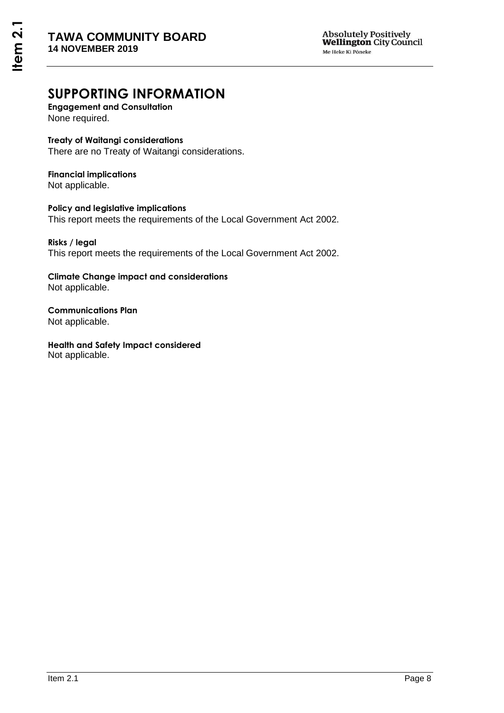# **SUPPORTING INFORMATION**

**Engagement and Consultation** None required.

#### **Treaty of Waitangi considerations**

There are no Treaty of Waitangi considerations.

### **Financial implications**

Not applicable.

### **Policy and legislative implications**

This report meets the requirements of the Local Government Act 2002.

#### **Risks / legal**  This report meets the requirements of the Local Government Act 2002.

#### **Climate Change impact and considerations** Not applicable.

**Communications Plan** Not applicable.

**Health and Safety Impact considered** Not applicable.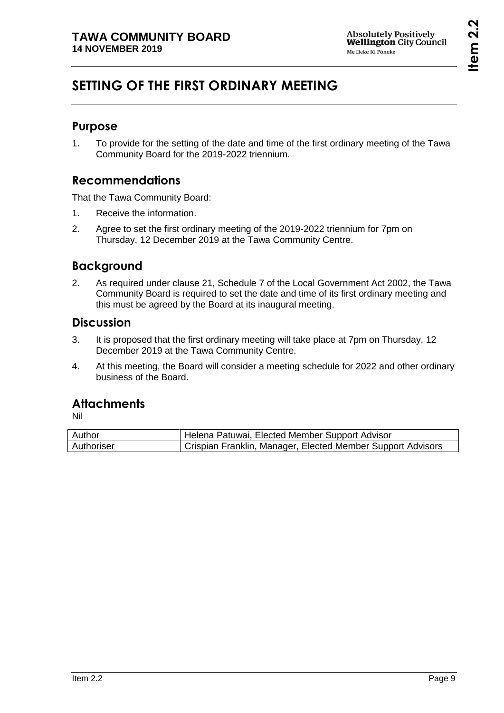# **SETTING OF THE FIRST ORDINARY MEETING**

### **Purpose**

1. To provide for the setting of the date and time of the first ordinary meeting of the Tawa Community Board for the 2019-2022 triennium.

## **Recommendations**

That the Tawa Community Board:

- 1. Receive the information.
- 2. Agree to set the first ordinary meeting of the 2019-2022 triennium for 7pm on Thursday, 12 December 2019 at the Tawa Community Centre.

# **Background**

2. As required under clause 21, Schedule 7 of the Local Government Act 2002, the Tawa Community Board is required to set the date and time of its first ordinary meeting and this must be agreed by the Board at its inaugural meeting.

### **Discussion**

- 3. It is proposed that the first ordinary meeting will take place at 7pm on Thursday, 12 December 2019 at the Tawa Community Centre.
- 4. At this meeting, the Board will consider a meeting schedule for 2022 and other ordinary business of the Board.

# **Attachments**

Nil

| Author     | <b>Helena Patuwai, Elected Member Support Advisor</b>       |
|------------|-------------------------------------------------------------|
| Authoriser | Crispian Franklin, Manager, Elected Member Support Advisors |